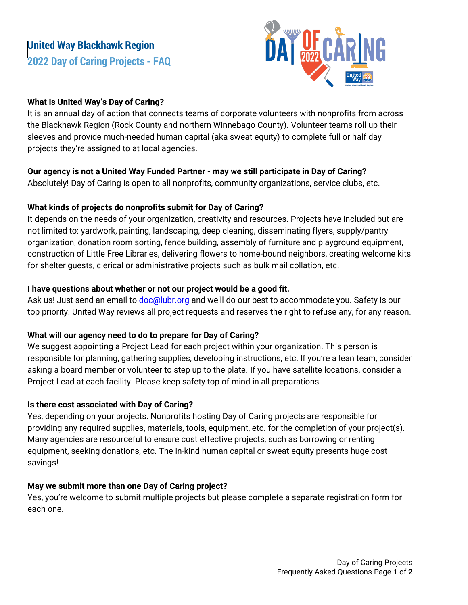# **United Way Blackhawk Region 2022 Day of Caring Projects - FAQ**



## **What is United Way's Day of Caring?**

It is an annual day of action that connects teams of corporate volunteers with nonprofits from across the Blackhawk Region (Rock County and northern Winnebago County). Volunteer teams roll up their sleeves and provide much-needed human capital (aka sweat equity) to complete full or half day projects they're assigned to at local agencies.

### **Our agency is not a United Way Funded Partner - may we still participate in Day of Caring?**

Absolutely! Day of Caring is open to all nonprofits, community organizations, service clubs, etc.

### **What kinds of projects do nonprofits submit for Day of Caring?**

It depends on the needs of your organization, creativity and resources. Projects have included but are not limited to: yardwork, painting, landscaping, deep cleaning, disseminating flyers, supply/pantry organization, donation room sorting, fence building, assembly of furniture and playground equipment, construction of Little Free Libraries, delivering flowers to home-bound neighbors, creating welcome kits for shelter guests, clerical or administrative projects such as bulk mail collation, etc.

### **I have questions about whether or not our project would be a good fit.**

Ask us! Just send an email to [doc@lubr.org](mailto:doc@lubr.org) and we'll do our best to accommodate you. Safety is our top priority. United Way reviews all project requests and reserves the right to refuse any, for any reason.

## **What will our agency need to do to prepare for Day of Caring?**

We suggest appointing a Project Lead for each project within your organization. This person is responsible for planning, gathering supplies, developing instructions, etc. If you're a lean team, consider asking a board member or volunteer to step up to the plate. If you have satellite locations, consider a Project Lead at each facility. Please keep safety top of mind in all preparations.

#### **Is there cost associated with Day of Caring?**

Yes, depending on your projects. Nonprofits hosting Day of Caring projects are responsible for providing any required supplies, materials, tools, equipment, etc. for the completion of your project(s). Many agencies are resourceful to ensure cost effective projects, such as borrowing or renting equipment, seeking donations, etc. The in-kind human capital or sweat equity presents huge cost savings!

## **May we submit more than one Day of Caring project?**

Yes, you're welcome to submit multiple projects but please complete a separate registration form for each one.